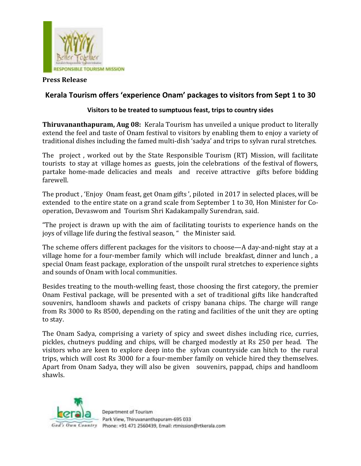

## **Press Release**

## **Kerala Tourism offers 'experience Onam' packages to visitors from Sept 1 to 30**

## **Visitors to be treated to sumptuous feast, trips to country sides**

**Thiruvananthapuram, Aug 08:** Kerala Tourism has unveiled a unique product to literally extend the feel and taste of Onam festival to visitors by enabling them to enjoy a variety of traditional dishes including the famed multi-dish 'sadya' and trips to sylvan rural stretches.

The project , worked out by the State Responsible Tourism (RT) Mission, will facilitate tourists to stay at village homes as guests, join the celebrations of the festival of flowers, partake home-made delicacies and meals and receive attractive gifts before bidding farewell.

The product , 'Enjoy Onam feast, get Onam gifts ', piloted in 2017 in selected places, will be extended to the entire state on a grand scale from September 1 to 30, Hon Minister for Cooperation, Devaswom and Tourism Shri Kadakampally Surendran, said.

"The project is drawn up with the aim of facilitating tourists to experience hands on the joys of village life during the festival season, " the Minister said.

The scheme offers different packages for the visitors to choose—A day-and-night stay at a village home for a four-member family which will include breakfast, dinner and lunch , a special Onam feast package, exploration of the unspoilt rural stretches to experience sights and sounds of Onam with local communities.

Besides treating to the mouth-welling feast, those choosing the first category, the premier Onam Festival package, will be presented with a set of traditional gifts like handcrafted souvenirs, handloom shawls and packets of crispy banana chips. The charge will range from Rs 3000 to Rs 8500, depending on the rating and facilities of the unit they are opting to stay.

The Onam Sadya, comprising a variety of spicy and sweet dishes including rice, curries, pickles, chutneys pudding and chips, will be charged modestly at Rs 250 per head. The visitors who are keen to explore deep into the sylvan countryside can hitch to the rural trips, which will cost Rs 3000 for a four-member family on vehicle hired they themselves. Apart from Onam Sadya, they will also be given souvenirs, pappad, chips and handloom shawls.



Department of Tourism Park View, Thiruvananthapuram-695 033 God's Own Country Phone: +91 471 2560439, Email: rtmission@rtkerala.com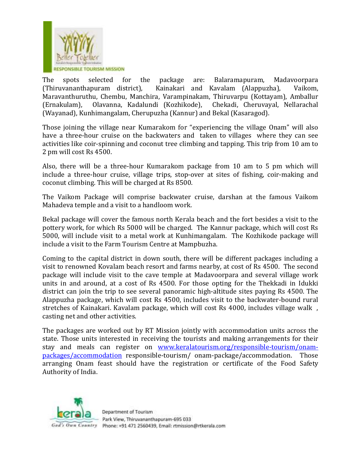

The spots selected for the package are: Balaramapuram, Madavoorpara (Thiruvananthapuram district), Kainakari and Kavalam (Alappuzha), Vaikom, Maravanthuruthu, Chembu, Manchira, Varampinakam, Thiruvarpu (Kottayam), Amballur (Ernakulam), Olavanna, Kadalundi (Kozhikode), Chekadi, Cheruvayal, Nellarachal (Wayanad), Kunhimangalam, Cherupuzha (Kannur) and Bekal (Kasaragod).

Those joining the village near Kumarakom for "experiencing the village Onam" will also have a three-hour cruise on the backwaters and taken to villages where they can see activities like coir-spinning and coconut tree climbing and tapping. This trip from 10 am to 2 pm will cost Rs 4500.

Also, there will be a three-hour Kumarakom package from 10 am to 5 pm which will include a three-hour cruise, village trips, stop-over at sites of fishing, coir-making and coconut climbing. This will be charged at Rs 8500.

The Vaikom Package will comprise backwater cruise, darshan at the famous Vaikom Mahadeva temple and a visit to a handloom work.

Bekal package will cover the famous north Kerala beach and the fort besides a visit to the pottery work, for which Rs 5000 will be charged. The Kannur package, which will cost Rs 5000, will include visit to a metal work at Kunhimangalam. The Kozhikode package will include a visit to the Farm Tourism Centre at Mampbuzha.

Coming to the capital district in down south, there will be different packages including a visit to renowned Kovalam beach resort and farms nearby, at cost of Rs 4500. The second package will include visit to the cave temple at Madavoorpara and several village work units in and around, at a cost of Rs 4500. For those opting for the Thekkadi in Idukki district can join the trip to see several panoramic high-altitude sites paying Rs 4500. The Alappuzha package, which will cost Rs 4500, includes visit to the backwater-bound rural stretches of Kainakari. Kavalam package, which will cost Rs 4000, includes village walk , casting net and other activities.

The packages are worked out by RT Mission jointly with accommodation units across the state. Those units interested in receiving the tourists and making arrangements for their stay and meals can register on www.keralatourism.org/responsible-tourism/onampackages/accommodation responsible-tourism/ onam-package/accommodation. Those arranging Onam feast should have the registration or certificate of the Food Safety Authority of India.



Department of Tourism Park View, Thiruvananthapuram-695 033 God's Own Country Phone: +91 471 2560439. Email: rtmission@rtkerala.com